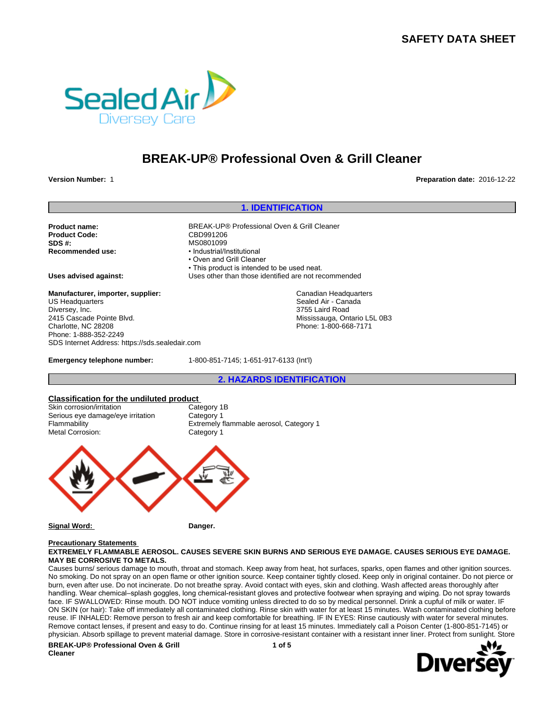# **SAFETY DATA SHEET**



# **BREAK-UP® Professional Oven & Grill Cleaner**

**Version Number:** 1 **Preparation date:** 2016-12-22

### **1. IDENTIFICATION**

**Product Code:** CBD991206<br> **SDS #:** MS0801099 **SDS #:**<br> **Recommended use:**<br> **Recommended use:**<br> **e** Industrial/Industrial/Industrial/Industrial/Industrial

**Product name:** BREAK-UP® Professional Oven & Grill Cleaner • Industrial/Institutional • Oven and Grill Cleaner • This product is intended to be used neat. **Uses advised against:** Uses other than those identified are not recommended

> Canadian Headquarters Sealed Air - Canada 3755 Laird Road Mississauga, Ontario L5L 0B3 Phone: 1-800-668-7171

**Manufacturer, importer, supplier:** US Headquarters Diversey, Inc. 2415 Cascade Pointe Blvd. Charlotte, NC 28208 Phone: 1-888-352-2249 SDS Internet Address: https://sds.sealedair.com

**Emergency telephone number:** 1-800-851-7145; 1-651-917-6133 (Int'l)

**2. HAZARDS IDENTIFICATION**

#### **Classification for the undiluted product**

Skin corrosion/irritation Category 1B Serious eye damage/eye irritation Category 1 Metal Corrosion:

Flammability **Extremely flammable aerosol, Category 1**<br> **Extremely flammable aerosol, Category 1** 



**Signal Word: Danger.**

### **Precautionary Statements**

#### **EXTREMELY FLAMMABLE AEROSOL. CAUSES SEVERE SKIN BURNS AND SERIOUS EYE DAMAGE. CAUSES SERIOUS EYE DAMAGE. MAY BE CORROSIVE TO METALS.**

Causes burns/ serious damage to mouth, throat and stomach. Keep away from heat, hot surfaces, sparks, open flames and other ignition sources. No smoking. Do not spray on an open flame or other ignition source. Keep container tightly closed. Keep only in original container. Do not pierce or burn, even after use. Do not incinerate. Do not breathe spray. Avoid contact with eyes, skin and clothing. Wash affected areas thoroughly after handling. Wear chemical–splash goggles, long chemical-resistant gloves and protective footwear when spraying and wiping. Do not spray towards face. IF SWALLOWED: Rinse mouth. DO NOT induce vomiting unless directed to do so by medical personnel. Drink a cupful of milk or water. IF ON SKIN (or hair): Take off immediately all contaminated clothing. Rinse skin with water for at least 15 minutes. Wash contaminated clothing before reuse. IF INHALED: Remove person to fresh air and keep comfortable for breathing. IF IN EYES: Rinse cautiously with water for several minutes. Remove contact lenses, if present and easy to do. Continue rinsing for at least 15 minutes. Immediately call a Poison Center (1-800-851-7145) or physician. Absorb spillage to prevent material damage. Store in corrosive-resistant container with a resistant inner liner. Protect from sunlight. Store

**BREAK-UP® Professional Oven & Grill Cleaner**

**1 of 5**

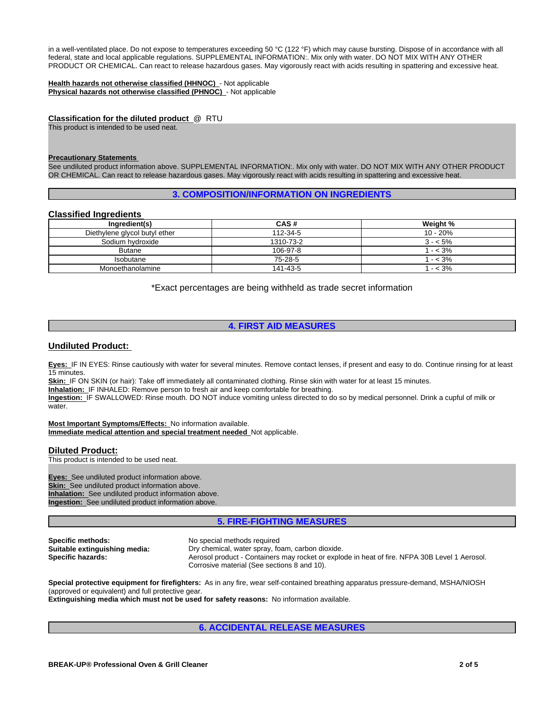in a well-ventilated place. Do not expose to temperatures exceeding 50 °C (122 °F) which may cause bursting. Dispose of in accordance with all federal, state and local applicable regulations. SUPPLEMENTAL INFORMATION:. Mix only with water. DO NOT MIX WITH ANY OTHER PRODUCT OR CHEMICAL. Can react to release hazardous gases. May vigorously react with acids resulting in spattering and excessive heat.

**Health hazards not otherwise classified (HHNOC)** - Not applicable **Physical hazards not otherwise classified (PHNOC)** - Not applicable

**Classification for the diluted product** @ RTU This product is intended to be used neat.

#### **Precautionary Statements**

See undiluted product information above. SUPPLEMENTAL INFORMATION:. Mix only with water. DO NOT MIX WITH ANY OTHER PRODUCT OR CHEMICAL. Can react to release hazardous gases. May vigorously react with acids resulting in spattering and excessive heat.

#### **3. COMPOSITION/INFORMATION ON INGREDIENTS**

### **Classified Ingredients**

| Ingredient(s)                 | CAS#      | Weight %  |
|-------------------------------|-----------|-----------|
| Diethylene glycol butyl ether | 112-34-5  | 10 - 20%  |
| Sodium hydroxide              | 1310-73-2 | $3 - 5\%$ |
| <b>Butane</b>                 | 106-97-8  | $- < 3\%$ |
| <b>Isobutane</b>              | 75-28-5   | $- < 3\%$ |
| Monoethanolamine              | 141-43-5  | $- < 3\%$ |

\*Exact percentages are being withheld as trade secret information

### **4. FIRST AID MEASURES**

### **Undiluted Product:**

**Eyes:** IF IN EYES: Rinse cautiously with water for several minutes. Remove contact lenses, if present and easy to do. Continue rinsing for at least 15 minutes.

Skin: IF ON SKIN (or hair): Take off immediately all contaminated clothing. Rinse skin with water for at least 15 minutes.

**Inhalation:** IF INHALED: Remove person to fresh air and keep comfortable for breathing.

**Ingestion:** IF SWALLOWED: Rinse mouth. DO NOT induce vomiting unless directed to do so by medical personnel. Drink a cupful of milk or water.

**Most Important Symptoms/Effects:** No information available. **Immediate medical attention and special treatment needed** Not applicable.

#### **Diluted Product:**

This product is intended to be used neat.

**Eyes:** See undiluted product information above. **Skin:** See undiluted product information above. **Inhalation:** See undiluted product information above. **Ingestion:** See undiluted product information above.

### **5. FIRE-FIGHTING MEASURES**

**Specific methods:** No special methods required<br> **Suitable extinguishing media:** Dry chemical, water spray, fo

**Suitable extinguishing media:** Dry chemical, water spray, foam, carbon dioxide. Specific hazards:<br> **Specific hazards:** Aerosol product - Containers may rocket or explode in heat of fire. NFPA 30B Level 1 Aerosol. Corrosive material (See sections 8 and 10).

**Special protective equipment for firefighters:** As in any fire, wear self-contained breathing apparatus pressure-demand, MSHA/NIOSH (approved or equivalent) and full protective gear. **Extinguishing media which must not be used for safety reasons:** No information available.

**6. ACCIDENTAL RELEASE MEASURES**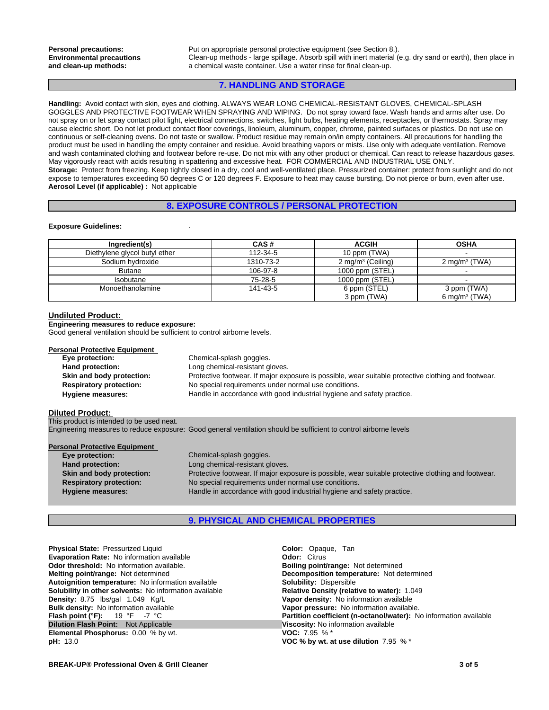**Personal precautions:** Put on appropriate personal protective equipment (see Section 8.). Clean-up methods - large spillage. Absorb spill with inert material (e.g. dry sand or earth), then place in a chemical waste container. Use a water rinse for final clean-up.

### **7. HANDLING AND STORAGE**

**Handling:** Avoid contact with skin, eyes and clothing. ALWAYS WEAR LONG CHEMICAL-RESISTANT GLOVES, CHEMICAL-SPLASH GOGGLES AND PROTECTIVE FOOTWEAR WHEN SPRAYING AND WIPING. Do not spray toward face. Wash hands and arms after use. Do not spray on or let spray contact pilot light, electrical connections, switches, light bulbs, heating elements, receptacles, or thermostats. Spray may cause electric short. Do not let product contact floor coverings, linoleum, aluminum, copper, chrome, painted surfaces or plastics. Do not use on continuous or self-cleaning ovens. Do not taste or swallow. Product residue may remain on/in empty containers. All precautions for handling the product must be used in handling the empty container and residue. Avoid breathing vapors or mists. Use only with adequate ventilation. Remove and wash contaminated clothing and footwear before re-use. Do not mix with any other product or chemical. Can react to release hazardous gases. May vigorously react with acids resulting in spattering and excessive heat. FOR COMMERCIAL AND INDUSTRIAL USE ONLY. **Storage:** Protect from freezing. Keep tightly closed in a dry, cool and well-ventilated place. Pressurized container: protect from sunlight and do not expose to temperatures exceeding 50 degrees C or 120 degrees F. Exposure to heat may cause bursting. Do not pierce or burn, even after use. **Aerosol Level (if applicable) :** Not applicable

### **8. EXPOSURE CONTROLS / PERSONAL PROTECTION**

#### **Exposure Guidelines:** .

| Ingredient(s)                 | CAS#      | <b>ACGIH</b>                 | <b>OSHA</b>               |
|-------------------------------|-----------|------------------------------|---------------------------|
| Diethylene glycol butyl ether | 112-34-5  | 10 ppm (TWA)                 |                           |
| Sodium hydroxide              | 1310-73-2 | $2 \text{ mg/m}^3$ (Ceiling) | 2 mg/m <sup>3</sup> (TWA) |
| <b>Butane</b>                 | 106-97-8  | 1000 ppm (STEL)              |                           |
| <b>Isobutane</b>              | 75-28-5   | 1000 ppm (STEL)              |                           |
| Monoethanolamine              | 141-43-5  | 6 ppm (STEL)                 | 3 ppm (TWA)               |
|                               |           | 3 ppm (TWA)                  | 6 mg/m <sup>3</sup> (TWA) |

#### **Undiluted Product:**

**Engineering measures to reduce exposure:**

Good general ventilation should be sufficient to control airborne levels.

## **Personal Protective Equipment**

| SUIT FIULCUIVE EQUIPILIERT     |                                                                                                     |
|--------------------------------|-----------------------------------------------------------------------------------------------------|
| Eye protection:                | Chemical-splash goggles.                                                                            |
| Hand protection:               | Long chemical-resistant gloves.                                                                     |
| Skin and body protection:      | Protective footwear. If major exposure is possible, wear suitable protective clothing and footwear. |
| <b>Respiratory protection:</b> | No special requirements under normal use conditions.                                                |
| Hygiene measures:              | Handle in accordance with good industrial hygiene and safety practice.                              |

#### **Diluted Product:**

**This product is intended to be used neat.** Engineering measures to reduce exposure: Good general ventilation should be sufficient to control airborne levels

| <b>Personal Protective Equipment</b> |                                                                                                     |  |
|--------------------------------------|-----------------------------------------------------------------------------------------------------|--|
| Eye protection:                      | Chemical-splash goggles.                                                                            |  |
| Hand protection:                     | Long chemical-resistant gloves.                                                                     |  |
| Skin and body protection:            | Protective footwear. If major exposure is possible, wear suitable protective clothing and footwear. |  |
| <b>Respiratory protection:</b>       | No special requirements under normal use conditions.                                                |  |
| <b>Hygiene measures:</b>             | Handle in accordance with good industrial hygiene and safety practice.                              |  |

### **9. PHYSICAL AND CHEMICAL PROPERTIES**

**Physical State:** Pressurized Liquid **Color:** Color: Opaque, Tan **Color:** Citrus Color: Citrus **Color:** Citrus **Color:** Citrus **Color:** Citrus **Color:** Citrus **Color:** Citrus **Color:** Citrus **Color:** Citrus **Color:** Citrus **Evaporation Rate: No information available Odor threshold:** No information available. **Boiling point/range: Not determined Melting point/range: Not determined Melting point/range: Not determined Autoignition temperature:** No information available **Solubility:** Dispersible **Solubility in other solvents: No information available Density:** 8.75 lbs/gal 1.049 Kg/L **Vapor density:** No information available **Bulk density:** No information available **Vapor pressure:** No information available.<br> **Flash point (°F):** 19 °F -7 °C **C Partition coefficient (n-octanol/water):** N **Dilution Flash Point:** Not Applicable **Viscosity:** No information available **Elemental Phosphorus:** 0.00 % by wt. **VOC:** 7.95 % \* **Elemental Phosphorus: 0.00 % by wt. pH:** 13.0 **VOC % by wt. at use dilution** 7.95 % \*

**Decomposition temperature:** Not determined **Solubility:** Dispersible **Partition coefficient (n-octanol/water):** No information available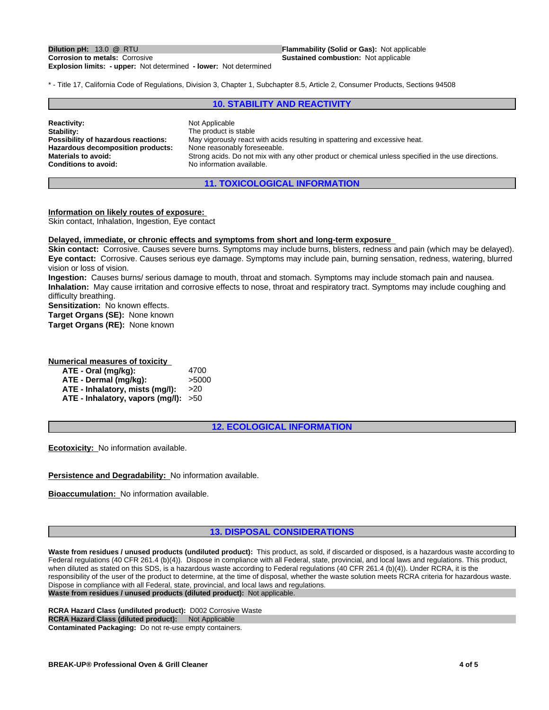**Explosion limits: - upper:** Not determined **- lower:** Not determined

**Dilution pH:** 13.0 **@** RTU **Flammability (Solid or Gas):** Not applicable **Corrosion to metals:** Corrosive **Flammability (Solid or Gas):** Not applicable **Sustained combustion: Not applicable** 

\* - Title 17, California Code of Regulations, Division 3, Chapter 1, Subchapter 8.5, Article 2, Consumer Products, Sections 94508

### **10. STABILITY AND REACTIVITY**

| <b>Reactivity:</b><br>Stability:<br>Possibility of hazardous reactions:<br>Hazardous decomposition products:<br><b>Materials to avoid:</b><br><b>Conditions to avoid:</b> | Not Applicable<br>The product is stable<br>May vigorously react with acids resulting in spattering and excessive heat.<br>None reasonably foreseeable.<br>Strong acids. Do not mix with any other product or chemical unless specified in the use directions.<br>No information available. |  |
|---------------------------------------------------------------------------------------------------------------------------------------------------------------------------|--------------------------------------------------------------------------------------------------------------------------------------------------------------------------------------------------------------------------------------------------------------------------------------------|--|
|---------------------------------------------------------------------------------------------------------------------------------------------------------------------------|--------------------------------------------------------------------------------------------------------------------------------------------------------------------------------------------------------------------------------------------------------------------------------------------|--|

**11. TOXICOLOGICAL INFORMATION**

#### **Information on likely routes of exposure:**

Skin contact, Inhalation, Ingestion, Eye contact

#### **Delayed, immediate, or chronic effects and symptoms from short and long-term exposure**

**Skin contact:** Corrosive. Causes severe burns. Symptoms may include burns, blisters, redness and pain (which may be delayed). **Eye contact:** Corrosive. Causes serious eye damage. Symptoms may include pain, burning sensation, redness, watering, blurred vision or loss of vision.

**Ingestion:** Causes burns/ serious damage to mouth, throat and stomach. Symptoms may include stomach pain and nausea. **Inhalation:** May cause irritation and corrosive effects to nose, throat and respiratory tract. Symptoms may include coughing and difficulty breathing.

**Sensitization:** No known effects.

**Target Organs (SE):** None known

**Target Organs (RE):** None known

**Numerical measures of toxicity**

| ATE - Oral (mg/kg):                    | 4700  |
|----------------------------------------|-------|
| ATE - Dermal (mq/kq):                  | >5000 |
| ATE - Inhalatory, mists (mq/l):        | >20   |
| ATE - Inhalatory, vapors (mg/l): $>50$ |       |

**12. ECOLOGICAL INFORMATION**

**Ecotoxicity:** No information available.

**Persistence and Degradability:** No information available.

**Bioaccumulation:** No information available.

### **13. DISPOSAL CONSIDERATIONS**

**Waste from residues / unused products (undiluted product):** This product, as sold, if discarded or disposed, is a hazardous waste according to Federal regulations (40 CFR 261.4 (b)(4)). Dispose in compliance with all Federal, state, provincial, and local laws and regulations. This product, when diluted as stated on this SDS, is a hazardous waste according to Federal regulations (40 CFR 261.4 (b)(4)). Under RCRA, it is the responsibility of the user of the product to determine, at the time of disposal, whether the waste solution meets RCRA criteria for hazardous waste. Dispose in compliance with all Federal, state, provincial, and local laws and regulations. **Waste from residues / unused products (diluted product):** Not applicable.

**RCRA Hazard Class (undiluted product):** D002 Corrosive Waste **RCRA Hazard Class (diluted product):** Not Applicable **Contaminated Packaging:** Do not re-use empty containers.